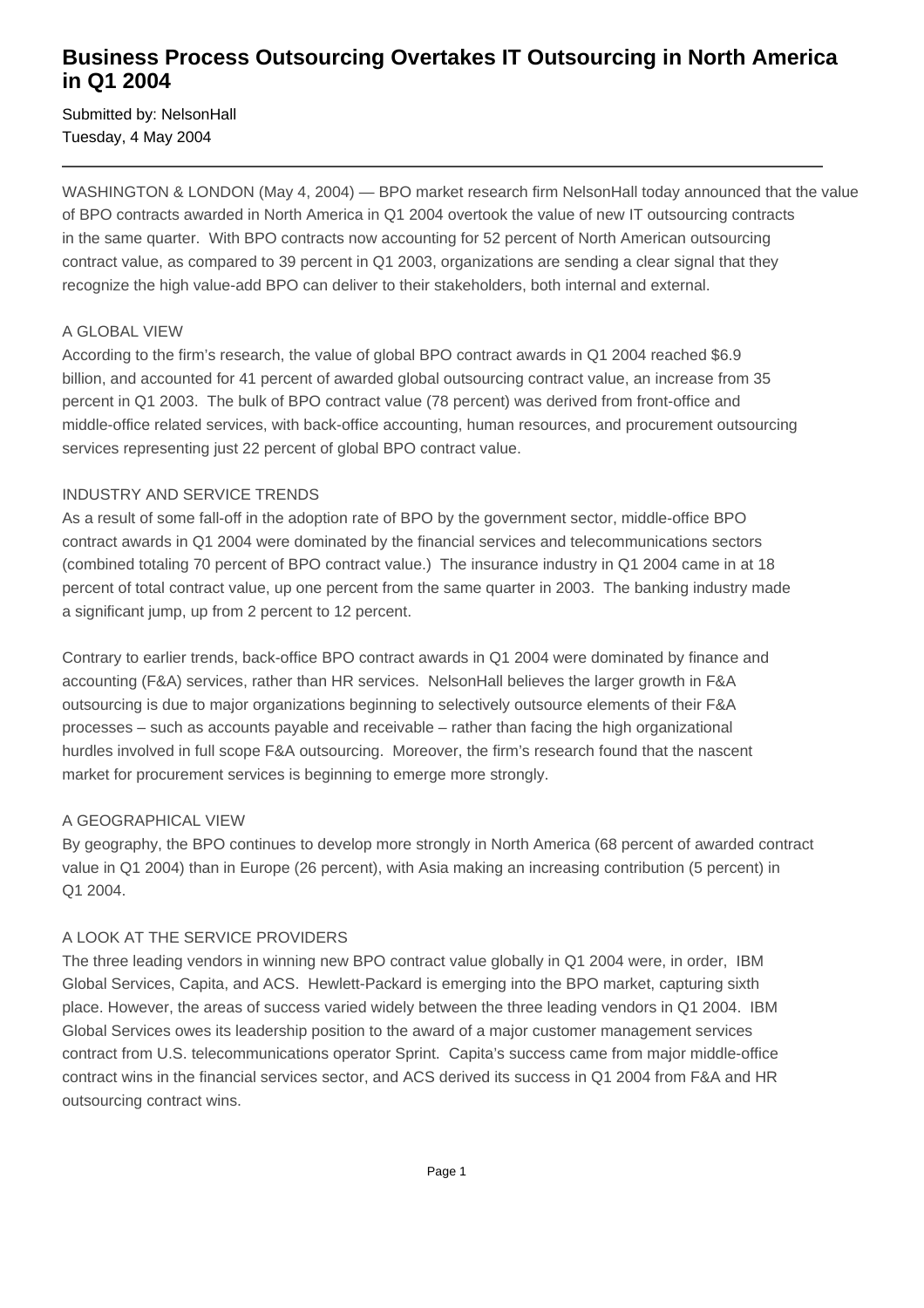## **Business Process Outsourcing Overtakes IT Outsourcing in North America in Q1 2004**

Submitted by: NelsonHall Tuesday, 4 May 2004

WASHINGTON & LONDON (May 4, 2004) — BPO market research firm NelsonHall today announced that the value of BPO contracts awarded in North America in Q1 2004 overtook the value of new IT outsourcing contracts in the same quarter. With BPO contracts now accounting for 52 percent of North American outsourcing contract value, as compared to 39 percent in Q1 2003, organizations are sending a clear signal that they recognize the high value-add BPO can deliver to their stakeholders, both internal and external.

#### A GLOBAL VIEW

According to the firm's research, the value of global BPO contract awards in Q1 2004 reached \$6.9 billion, and accounted for 41 percent of awarded global outsourcing contract value, an increase from 35 percent in Q1 2003. The bulk of BPO contract value (78 percent) was derived from front-office and middle-office related services, with back-office accounting, human resources, and procurement outsourcing services representing just 22 percent of global BPO contract value.

#### INDUSTRY AND SERVICE TRENDS

As a result of some fall-off in the adoption rate of BPO by the government sector, middle-office BPO contract awards in Q1 2004 were dominated by the financial services and telecommunications sectors (combined totaling 70 percent of BPO contract value.) The insurance industry in Q1 2004 came in at 18 percent of total contract value, up one percent from the same quarter in 2003. The banking industry made a significant jump, up from 2 percent to 12 percent.

Contrary to earlier trends, back-office BPO contract awards in Q1 2004 were dominated by finance and accounting (F&A) services, rather than HR services. NelsonHall believes the larger growth in F&A outsourcing is due to major organizations beginning to selectively outsource elements of their F&A processes – such as accounts payable and receivable – rather than facing the high organizational hurdles involved in full scope F&A outsourcing. Moreover, the firm's research found that the nascent market for procurement services is beginning to emerge more strongly.

### A GEOGRAPHICAL VIEW

By geography, the BPO continues to develop more strongly in North America (68 percent of awarded contract value in Q1 2004) than in Europe (26 percent), with Asia making an increasing contribution (5 percent) in Q1 2004.

### A LOOK AT THE SERVICE PROVIDERS

The three leading vendors in winning new BPO contract value globally in Q1 2004 were, in order, IBM Global Services, Capita, and ACS. Hewlett-Packard is emerging into the BPO market, capturing sixth place. However, the areas of success varied widely between the three leading vendors in Q1 2004. IBM Global Services owes its leadership position to the award of a major customer management services contract from U.S. telecommunications operator Sprint. Capita's success came from major middle-office contract wins in the financial services sector, and ACS derived its success in Q1 2004 from F&A and HR outsourcing contract wins.